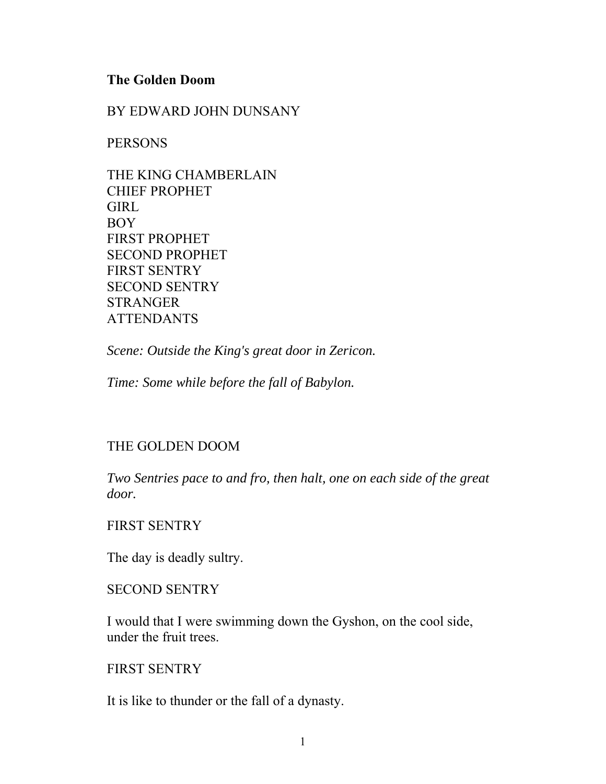### **The Golden Doom**

BY EDWARD JOHN DUNSANY

**PERSONS** 

| THE KING CHAMBERLAIN  |
|-----------------------|
| <b>CHIEF PROPHET</b>  |
| GIRL                  |
| <b>BOY</b>            |
| <b>FIRST PROPHET</b>  |
| <b>SECOND PROPHET</b> |
| <b>FIRST SENTRY</b>   |
| <b>SECOND SENTRY</b>  |
| <b>STRANGER</b>       |
| <b>ATTENDANTS</b>     |
|                       |

*Scene: Outside the King's great door in Zericon.* 

*Time: Some while before the fall of Babylon.* 

### THE GOLDEN DOOM

*Two Sentries pace to and fro, then halt, one on each side of the great door.* 

FIRST SENTRY

The day is deadly sultry.

#### SECOND SENTRY

I would that I were swimming down the Gyshon, on the cool side, under the fruit trees.

FIRST SENTRY

It is like to thunder or the fall of a dynasty.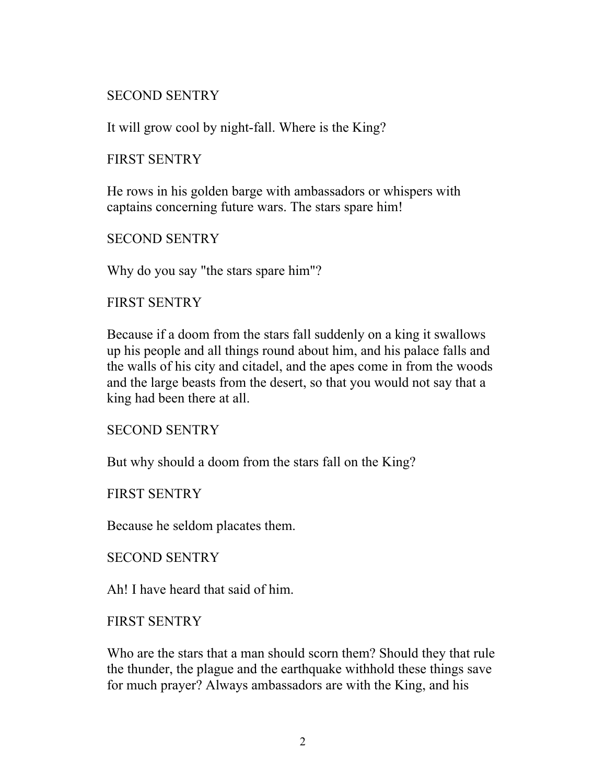#### SECOND SENTRY

It will grow cool by night-fall. Where is the King?

### FIRST SENTRY

He rows in his golden barge with ambassadors or whispers with captains concerning future wars. The stars spare him!

#### SECOND SENTRY

Why do you say "the stars spare him"?

#### FIRST SENTRY

Because if a doom from the stars fall suddenly on a king it swallows up his people and all things round about him, and his palace falls and the walls of his city and citadel, and the apes come in from the woods and the large beasts from the desert, so that you would not say that a king had been there at all.

#### SECOND SENTRY

But why should a doom from the stars fall on the King?

#### FIRST SENTRY

Because he seldom placates them.

#### SECOND SENTRY

Ah! I have heard that said of him.

#### FIRST SENTRY

Who are the stars that a man should scorn them? Should they that rule the thunder, the plague and the earthquake withhold these things save for much prayer? Always ambassadors are with the King, and his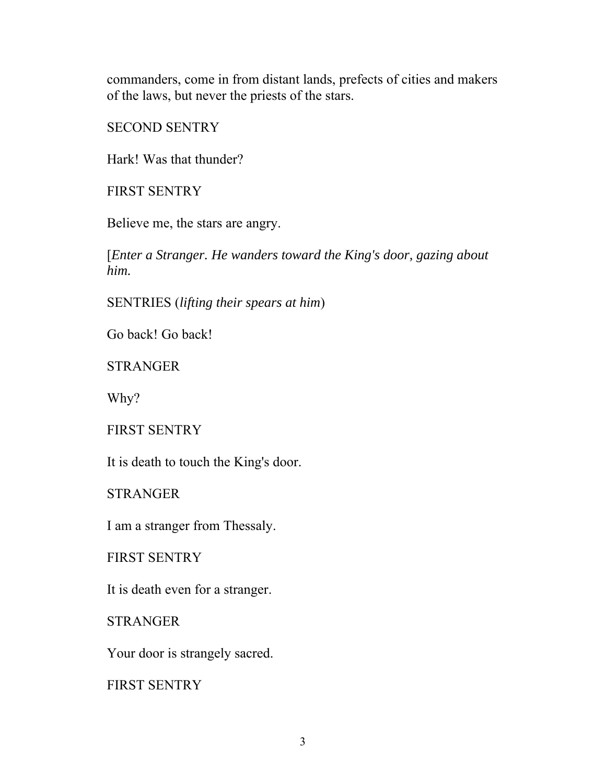commanders, come in from distant lands, prefects of cities and makers of the laws, but never the priests of the stars.

SECOND SENTRY

Hark! Was that thunder?

FIRST SENTRY

Believe me, the stars are angry.

[*Enter a Stranger. He wanders toward the King's door, gazing about him.*

SENTRIES (*lifting their spears at him*)

Go back! Go back!

**STRANGER** 

Why?

FIRST SENTRY

It is death to touch the King's door.

**STRANGER** 

I am a stranger from Thessaly.

FIRST SENTRY

It is death even for a stranger.

**STRANGER** 

Your door is strangely sacred.

FIRST SENTRY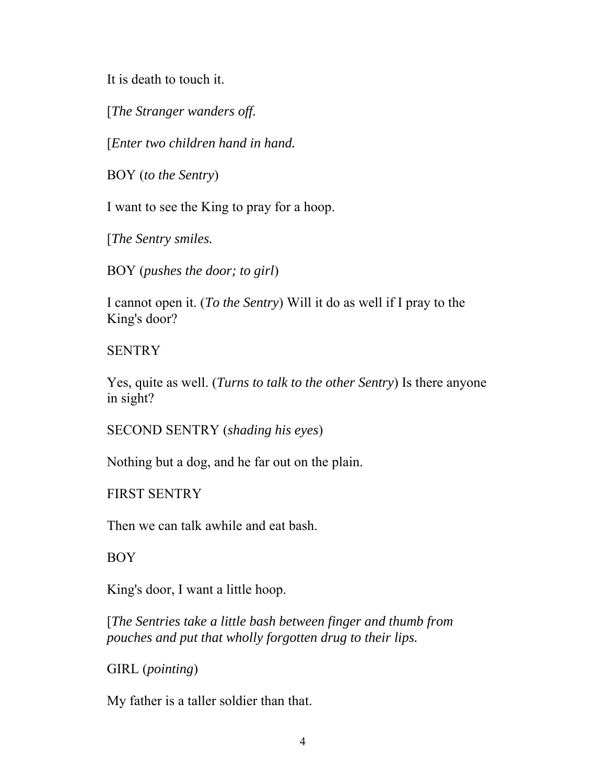It is death to touch it.

[*The Stranger wanders off.*

[*Enter two children hand in hand.*

BOY (*to the Sentry*)

I want to see the King to pray for a hoop.

[*The Sentry smiles.*

BOY (*pushes the door; to girl*)

I cannot open it. (*To the Sentry*) Will it do as well if I pray to the King's door?

**SENTRY** 

Yes, quite as well. (*Turns to talk to the other Sentry*) Is there anyone in sight?

```
SECOND SENTRY (shading his eyes)
```
Nothing but a dog, and he far out on the plain.

FIRST SENTRY

Then we can talk awhile and eat bash.

BOY

King's door, I want a little hoop.

[*The Sentries take a little bash between finger and thumb from pouches and put that wholly forgotten drug to their lips.*

GIRL (*pointing*)

My father is a taller soldier than that.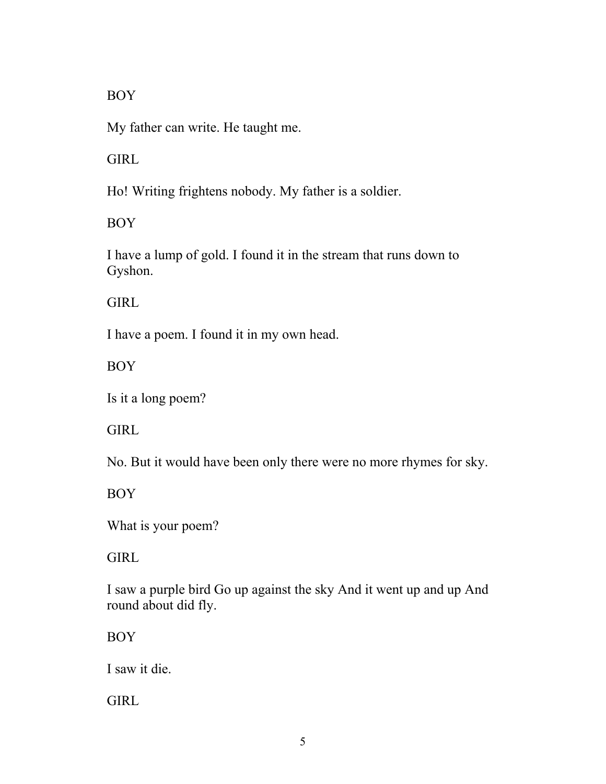BOY

My father can write. He taught me.

**GIRL** 

Ho! Writing frightens nobody. My father is a soldier.

BOY

I have a lump of gold. I found it in the stream that runs down to Gyshon.

**GIRL** 

I have a poem. I found it in my own head.

BOY

Is it a long poem?

**GIRL** 

No. But it would have been only there were no more rhymes for sky.

BOY

What is your poem?

**GIRL** 

I saw a purple bird Go up against the sky And it went up and up And round about did fly.

BOY

I saw it die.

**GIRL**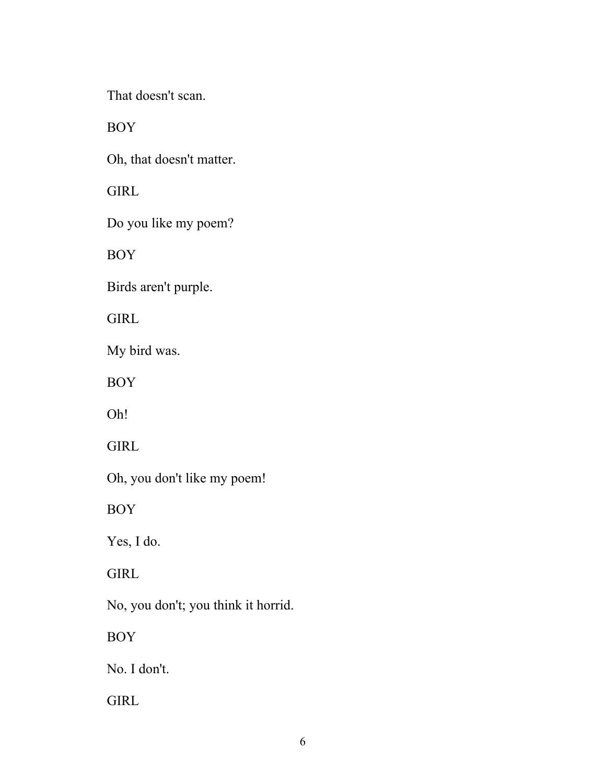That doesn't scan.

BOY

Oh, that doesn't matter.

**GIRL** 

Do you like my poem?

BOY

Birds aren't purple.

**GIRL** 

My bird was.

BOY

Oh!

**GIRL** 

Oh, you don't like my poem!

BOY

Yes, I do.

**GIRL** 

No, you don't; you think it horrid.

BOY

No. I don't.

**GIRL**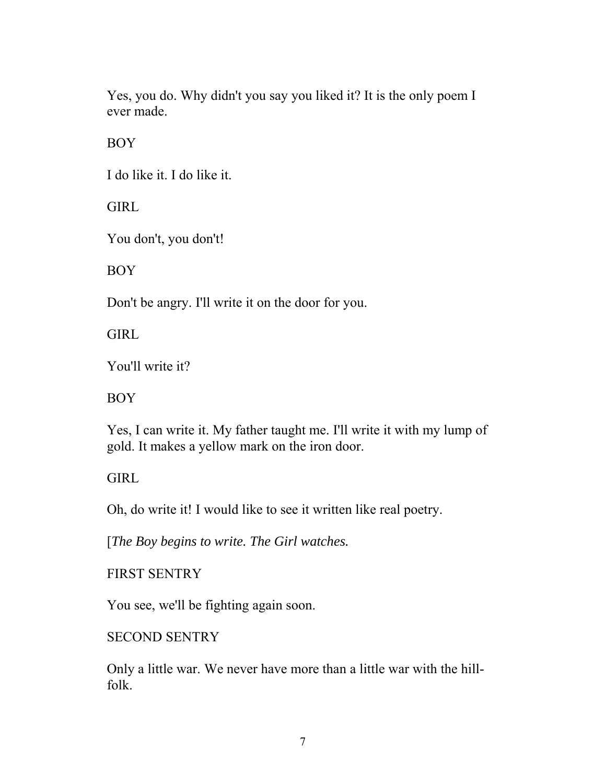Yes, you do. Why didn't you say you liked it? It is the only poem I ever made.

BOY

I do like it. I do like it.

GIRL

You don't, you don't!

BOY

Don't be angry. I'll write it on the door for you.

**GIRL** 

You'll write it?

BOY

Yes, I can write it. My father taught me. I'll write it with my lump of gold. It makes a yellow mark on the iron door.

GIRL

Oh, do write it! I would like to see it written like real poetry.

[*The Boy begins to write. The Girl watches.*

FIRST SENTRY

You see, we'll be fighting again soon.

SECOND SENTRY

Only a little war. We never have more than a little war with the hillfolk.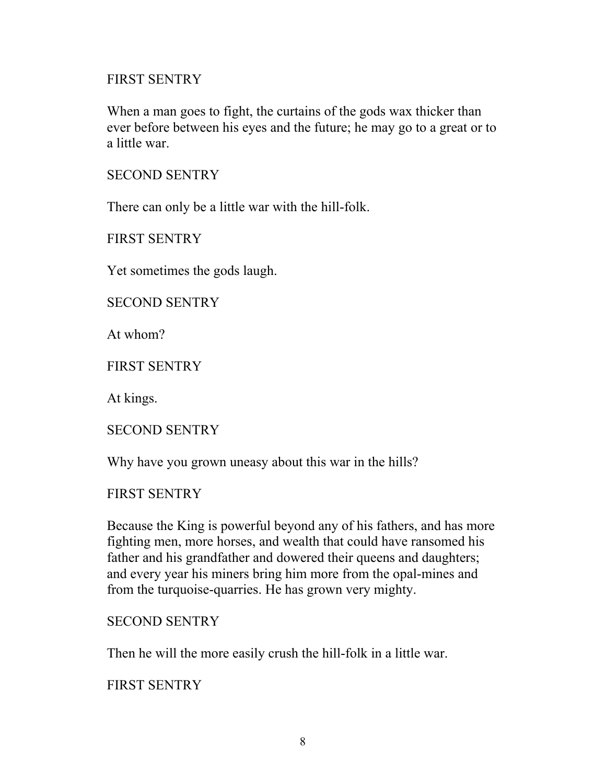#### FIRST SENTRY

When a man goes to fight, the curtains of the gods wax thicker than ever before between his eyes and the future; he may go to a great or to a little war.

### SECOND SENTRY

There can only be a little war with the hill-folk.

FIRST SENTRY

Yet sometimes the gods laugh.

SECOND SENTRY

At whom?

FIRST SENTRY

At kings.

SECOND SENTRY

Why have you grown uneasy about this war in the hills?

FIRST SENTRY

Because the King is powerful beyond any of his fathers, and has more fighting men, more horses, and wealth that could have ransomed his father and his grandfather and dowered their queens and daughters; and every year his miners bring him more from the opal-mines and from the turquoise-quarries. He has grown very mighty.

### SECOND SENTRY

Then he will the more easily crush the hill-folk in a little war.

FIRST SENTRY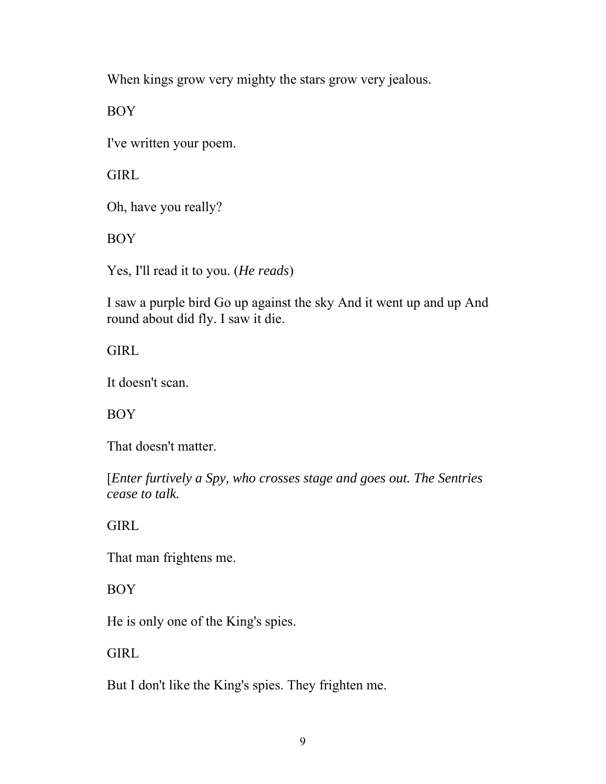When kings grow very mighty the stars grow very jealous.

BOY

I've written your poem.

**GIRL** 

Oh, have you really?

BOY

Yes, I'll read it to you. (*He reads*)

I saw a purple bird Go up against the sky And it went up and up And round about did fly. I saw it die.

GIRL

It doesn't scan.

BOY

That doesn't matter.

[*Enter furtively a Spy, who crosses stage and goes out. The Sentries cease to talk.*

**GIRL** 

That man frightens me.

BOY

He is only one of the King's spies.

**GIRL** 

But I don't like the King's spies. They frighten me.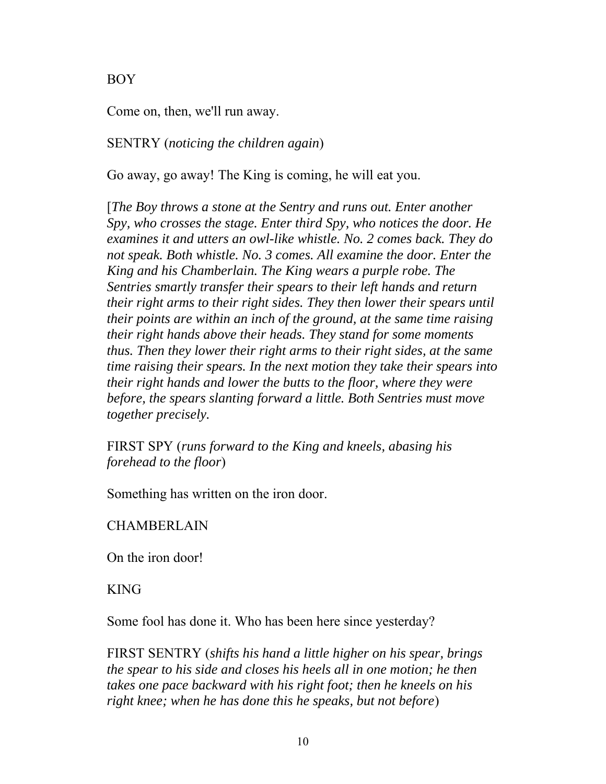BOY

Come on, then, we'll run away.

SENTRY (*noticing the children again*)

Go away, go away! The King is coming, he will eat you.

[*The Boy throws a stone at the Sentry and runs out. Enter another Spy, who crosses the stage. Enter third Spy, who notices the door. He examines it and utters an owl-like whistle. No. 2 comes back. They do not speak. Both whistle. No. 3 comes. All examine the door. Enter the King and his Chamberlain. The King wears a purple robe. The Sentries smartly transfer their spears to their left hands and return their right arms to their right sides. They then lower their spears until their points are within an inch of the ground, at the same time raising their right hands above their heads. They stand for some moments thus. Then they lower their right arms to their right sides, at the same time raising their spears. In the next motion they take their spears into their right hands and lower the butts to the floor, where they were before, the spears slanting forward a little. Both Sentries must move together precisely.*

FIRST SPY (*runs forward to the King and kneels, abasing his forehead to the floor*)

Something has written on the iron door.

CHAMBERLAIN

On the iron door!

KING

Some fool has done it. Who has been here since yesterday?

FIRST SENTRY (*shifts his hand a little higher on his spear, brings the spear to his side and closes his heels all in one motion; he then takes one pace backward with his right foot; then he kneels on his right knee; when he has done this he speaks, but not before*)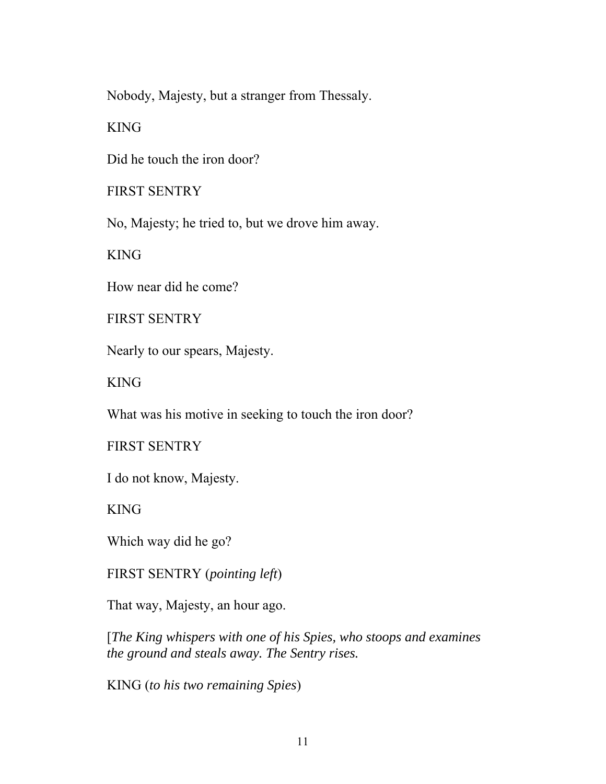Nobody, Majesty, but a stranger from Thessaly.

KING

Did he touch the iron door?

FIRST SENTRY

No, Majesty; he tried to, but we drove him away.

KING

How near did he come?

FIRST SENTRY

Nearly to our spears, Majesty.

KING

What was his motive in seeking to touch the iron door?

FIRST SENTRY

I do not know, Majesty.

KING

Which way did he go?

FIRST SENTRY (*pointing left*)

That way, Majesty, an hour ago.

[*The King whispers with one of his Spies, who stoops and examines the ground and steals away. The Sentry rises.*

KING (*to his two remaining Spies*)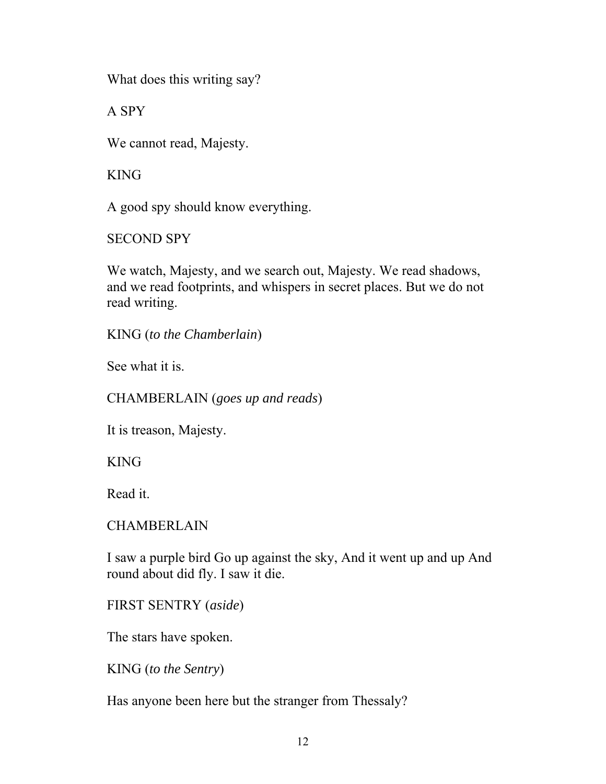What does this writing say?

A SPY

We cannot read, Majesty.

KING

A good spy should know everything.

SECOND SPY

We watch, Majesty, and we search out, Majesty. We read shadows, and we read footprints, and whispers in secret places. But we do not read writing.

KING (*to the Chamberlain*)

See what it is.

CHAMBERLAIN (*goes up and reads*)

It is treason, Majesty.

KING

Read it.

CHAMBERLAIN

I saw a purple bird Go up against the sky, And it went up and up And round about did fly. I saw it die.

FIRST SENTRY (*aside*)

The stars have spoken.

KING (*to the Sentry*)

Has anyone been here but the stranger from Thessaly?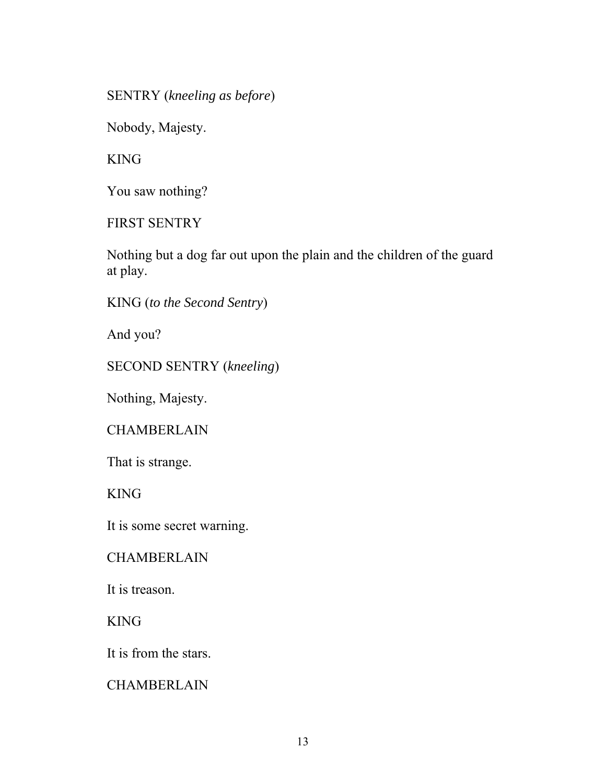SENTRY (*kneeling as before*)

Nobody, Majesty.

KING

You saw nothing?

FIRST SENTRY

Nothing but a dog far out upon the plain and the children of the guard at play.

KING (*to the Second Sentry*)

And you?

SECOND SENTRY (*kneeling*)

Nothing, Majesty.

**CHAMBERLAIN** 

That is strange.

KING

It is some secret warning.

**CHAMBERLAIN** 

It is treason.

KING

It is from the stars.

CHAMBERLAIN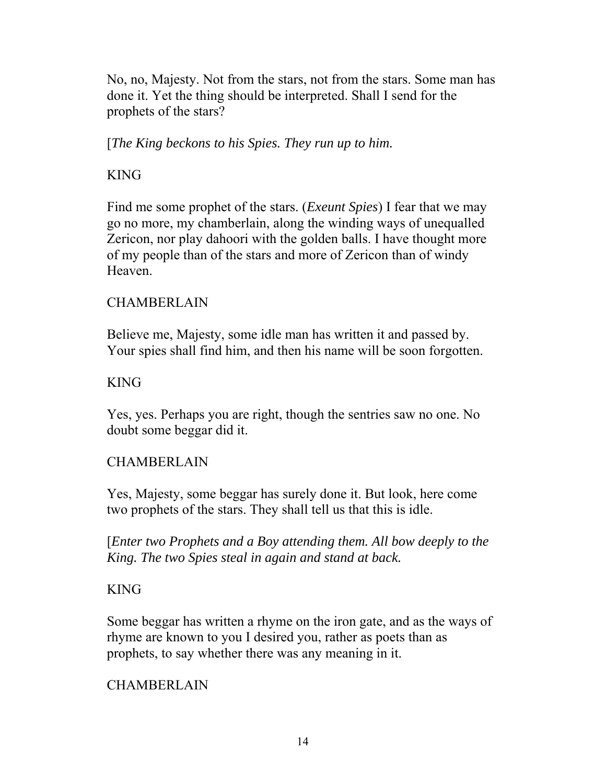No, no, Majesty. Not from the stars, not from the stars. Some man has done it. Yet the thing should be interpreted. Shall I send for the prophets of the stars?

[*The King beckons to his Spies. They run up to him.*

## KING

Find me some prophet of the stars. (*Exeunt Spies*) I fear that we may go no more, my chamberlain, along the winding ways of unequalled Zericon, nor play dahoori with the golden balls. I have thought more of my people than of the stars and more of Zericon than of windy Heaven.

# CHAMBERLAIN

Believe me, Majesty, some idle man has written it and passed by. Your spies shall find him, and then his name will be soon forgotten.

# KING

Yes, yes. Perhaps you are right, though the sentries saw no one. No doubt some beggar did it.

# CHAMBERLAIN

Yes, Majesty, some beggar has surely done it. But look, here come two prophets of the stars. They shall tell us that this is idle.

[*Enter two Prophets and a Boy attending them. All bow deeply to the King. The two Spies steal in again and stand at back.*

# KING

Some beggar has written a rhyme on the iron gate, and as the ways of rhyme are known to you I desired you, rather as poets than as prophets, to say whether there was any meaning in it.

# CHAMBERLAIN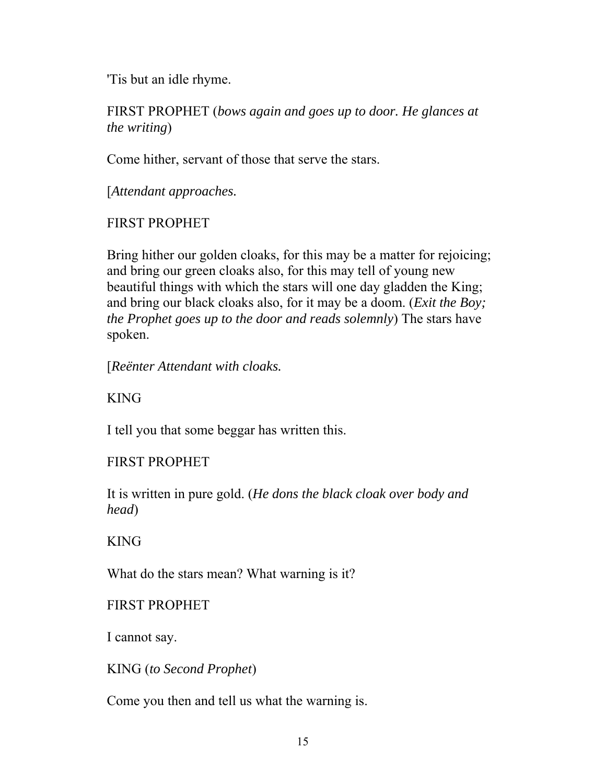'Tis but an idle rhyme.

FIRST PROPHET (*bows again and goes up to door. He glances at the writing*)

Come hither, servant of those that serve the stars.

[*Attendant approaches.*

FIRST PROPHET

Bring hither our golden cloaks, for this may be a matter for rejoicing; and bring our green cloaks also, for this may tell of young new beautiful things with which the stars will one day gladden the King; and bring our black cloaks also, for it may be a doom. (*Exit the Boy; the Prophet goes up to the door and reads solemnly*) The stars have spoken.

[*Reënter Attendant with cloaks.*

KING

I tell you that some beggar has written this.

FIRST PROPHET

It is written in pure gold. (*He dons the black cloak over body and head*)

KING

What do the stars mean? What warning is it?

FIRST PROPHET

I cannot say.

KING (*to Second Prophet*)

Come you then and tell us what the warning is.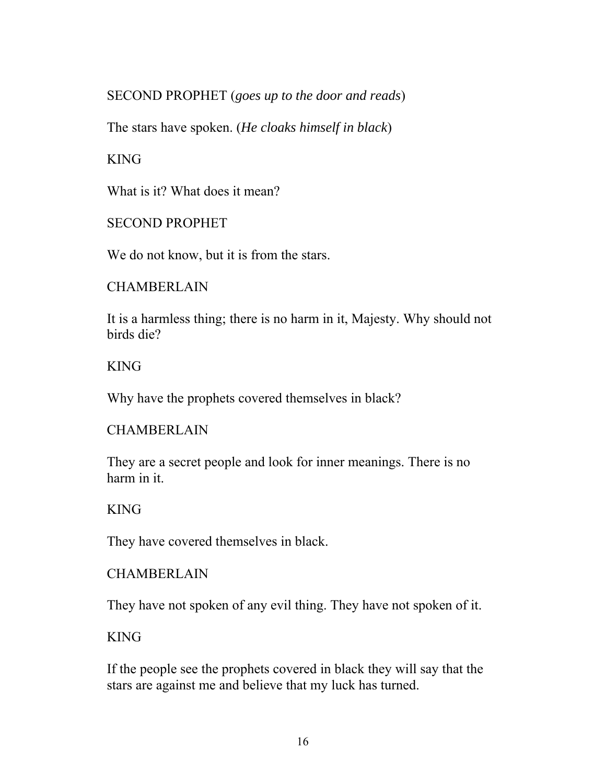SECOND PROPHET (*goes up to the door and reads*)

The stars have spoken. (*He cloaks himself in black*)

KING

What is it? What does it mean?

SECOND PROPHET

We do not know, but it is from the stars.

### CHAMBERLAIN

It is a harmless thing; there is no harm in it, Majesty. Why should not birds die?

### KING

Why have the prophets covered themselves in black?

## CHAMBERLAIN

They are a secret people and look for inner meanings. There is no harm in it.

## KING

They have covered themselves in black.

### CHAMBERLAIN

They have not spoken of any evil thing. They have not spoken of it.

## KING

If the people see the prophets covered in black they will say that the stars are against me and believe that my luck has turned.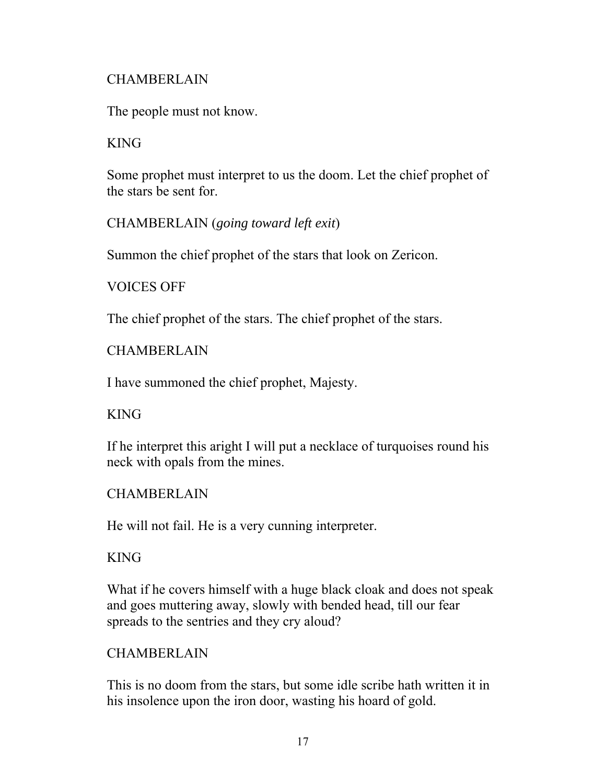### CHAMBERLAIN

The people must not know.

KING

Some prophet must interpret to us the doom. Let the chief prophet of the stars be sent for.

CHAMBERLAIN (*going toward left exit*)

Summon the chief prophet of the stars that look on Zericon.

VOICES OFF

The chief prophet of the stars. The chief prophet of the stars.

```
CHAMBERLAIN
```
I have summoned the chief prophet, Majesty.

KING

If he interpret this aright I will put a necklace of turquoises round his neck with opals from the mines.

CHAMBERLAIN

He will not fail. He is a very cunning interpreter.

KING

What if he covers himself with a huge black cloak and does not speak and goes muttering away, slowly with bended head, till our fear spreads to the sentries and they cry aloud?

## **CHAMBERLAIN**

This is no doom from the stars, but some idle scribe hath written it in his insolence upon the iron door, wasting his hoard of gold.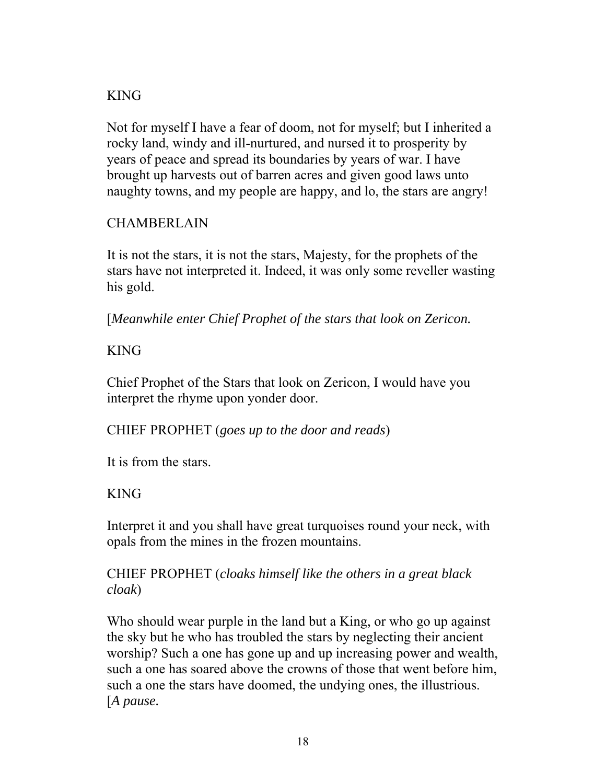# KING

Not for myself I have a fear of doom, not for myself; but I inherited a rocky land, windy and ill-nurtured, and nursed it to prosperity by years of peace and spread its boundaries by years of war. I have brought up harvests out of barren acres and given good laws unto naughty towns, and my people are happy, and lo, the stars are angry!

# CHAMBERLAIN

It is not the stars, it is not the stars, Majesty, for the prophets of the stars have not interpreted it. Indeed, it was only some reveller wasting his gold.

[*Meanwhile enter Chief Prophet of the stars that look on Zericon.*

# KING

Chief Prophet of the Stars that look on Zericon, I would have you interpret the rhyme upon yonder door.

CHIEF PROPHET (*goes up to the door and reads*)

It is from the stars.

# KING

Interpret it and you shall have great turquoises round your neck, with opals from the mines in the frozen mountains.

CHIEF PROPHET (*cloaks himself like the others in a great black cloak*)

Who should wear purple in the land but a King, or who go up against the sky but he who has troubled the stars by neglecting their ancient worship? Such a one has gone up and up increasing power and wealth, such a one has soared above the crowns of those that went before him, such a one the stars have doomed, the undying ones, the illustrious. [*A pause.*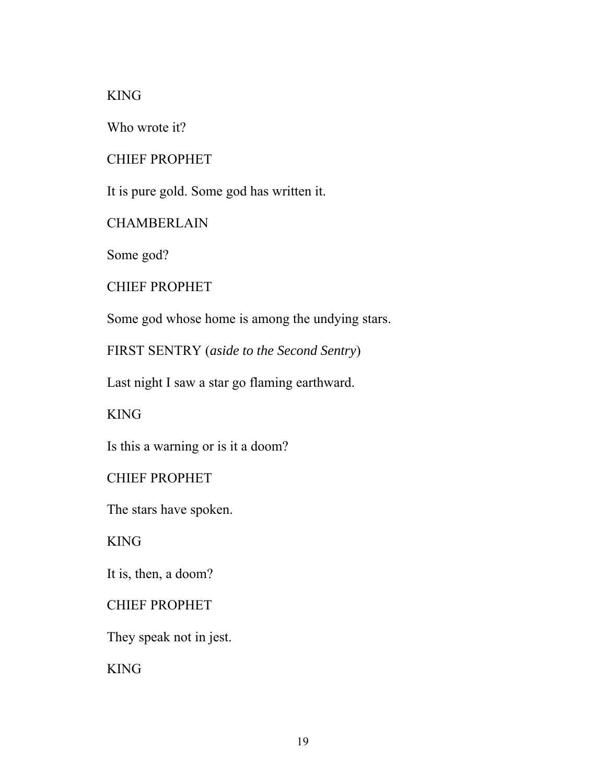KING

Who wrote it?

CHIEF PROPHET

It is pure gold. Some god has written it.

**CHAMBERLAIN** 

Some god?

CHIEF PROPHET

Some god whose home is among the undying stars.

FIRST SENTRY (*aside to the Second Sentry*)

Last night I saw a star go flaming earthward.

KING

Is this a warning or is it a doom?

CHIEF PROPHET

The stars have spoken.

KING

It is, then, a doom?

CHIEF PROPHET

They speak not in jest.

KING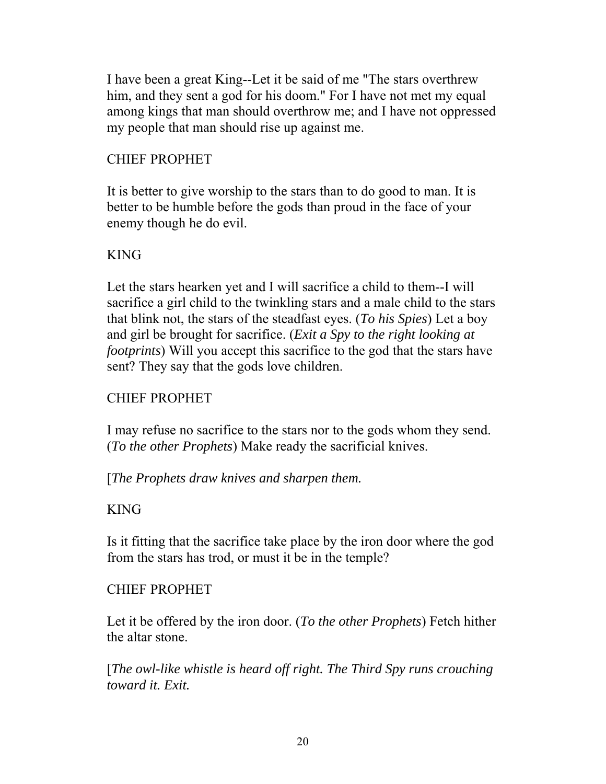I have been a great King--Let it be said of me "The stars overthrew him, and they sent a god for his doom." For I have not met my equal among kings that man should overthrow me; and I have not oppressed my people that man should rise up against me.

### CHIEF PROPHET

It is better to give worship to the stars than to do good to man. It is better to be humble before the gods than proud in the face of your enemy though he do evil.

## KING

Let the stars hearken yet and I will sacrifice a child to them--I will sacrifice a girl child to the twinkling stars and a male child to the stars that blink not, the stars of the steadfast eyes. (*To his Spies*) Let a boy and girl be brought for sacrifice. (*Exit a Spy to the right looking at footprints*) Will you accept this sacrifice to the god that the stars have sent? They say that the gods love children.

### CHIEF PROPHET

I may refuse no sacrifice to the stars nor to the gods whom they send. (*To the other Prophets*) Make ready the sacrificial knives.

[*The Prophets draw knives and sharpen them.*

## KING

Is it fitting that the sacrifice take place by the iron door where the god from the stars has trod, or must it be in the temple?

### CHIEF PROPHET

Let it be offered by the iron door. (*To the other Prophets*) Fetch hither the altar stone.

[*The owl-like whistle is heard off right. The Third Spy runs crouching toward it. Exit.*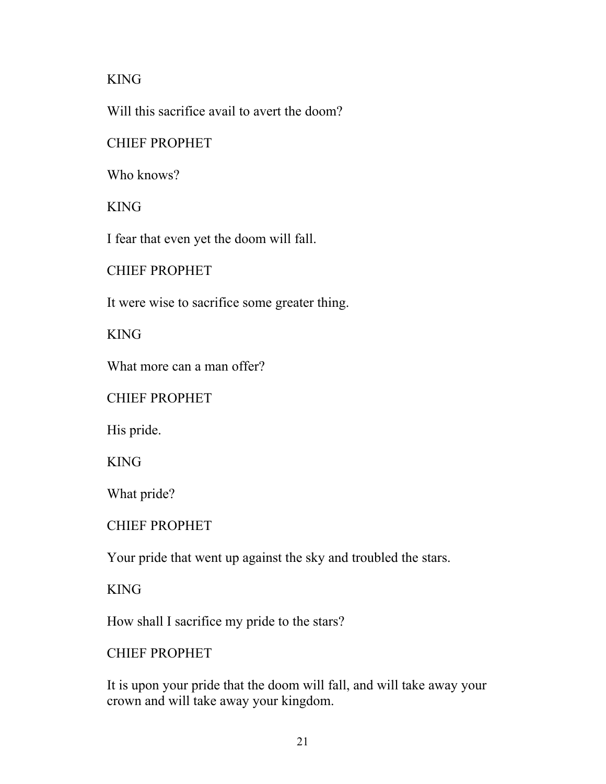### KING

Will this sacrifice avail to avert the doom?

CHIEF PROPHET

Who knows?

KING

I fear that even yet the doom will fall.

CHIEF PROPHET

It were wise to sacrifice some greater thing.

KING

What more can a man offer?

CHIEF PROPHET

His pride.

KING

What pride?

CHIEF PROPHET

Your pride that went up against the sky and troubled the stars.

KING

How shall I sacrifice my pride to the stars?

CHIEF PROPHET

It is upon your pride that the doom will fall, and will take away your crown and will take away your kingdom.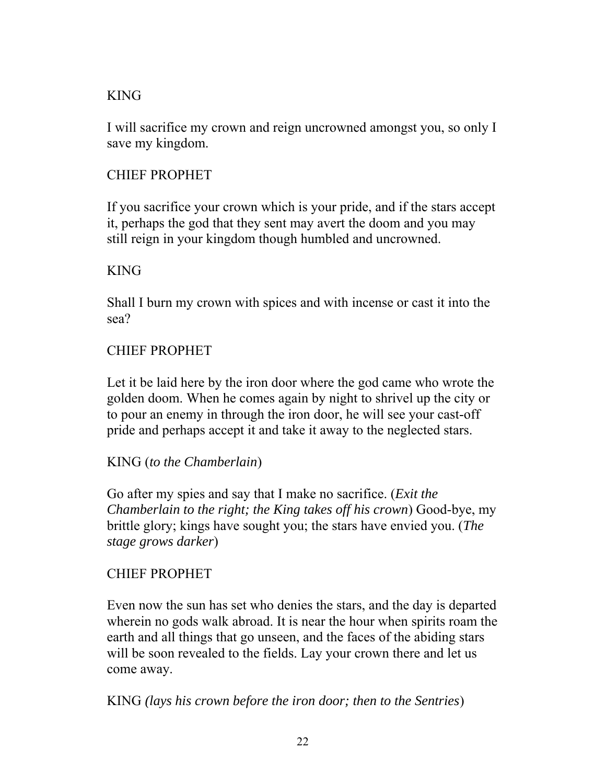# KING

I will sacrifice my crown and reign uncrowned amongst you, so only I save my kingdom.

# CHIEF PROPHET

If you sacrifice your crown which is your pride, and if the stars accept it, perhaps the god that they sent may avert the doom and you may still reign in your kingdom though humbled and uncrowned.

# KING

Shall I burn my crown with spices and with incense or cast it into the sea?

# CHIEF PROPHET

Let it be laid here by the iron door where the god came who wrote the golden doom. When he comes again by night to shrivel up the city or to pour an enemy in through the iron door, he will see your cast-off pride and perhaps accept it and take it away to the neglected stars.

## KING (*to the Chamberlain*)

Go after my spies and say that I make no sacrifice. (*Exit the Chamberlain to the right; the King takes off his crown*) Good-bye, my brittle glory; kings have sought you; the stars have envied you. (*The stage grows darker*)

## CHIEF PROPHET

Even now the sun has set who denies the stars, and the day is departed wherein no gods walk abroad. It is near the hour when spirits roam the earth and all things that go unseen, and the faces of the abiding stars will be soon revealed to the fields. Lay your crown there and let us come away.

KING *(lays his crown before the iron door; then to the Sentries*)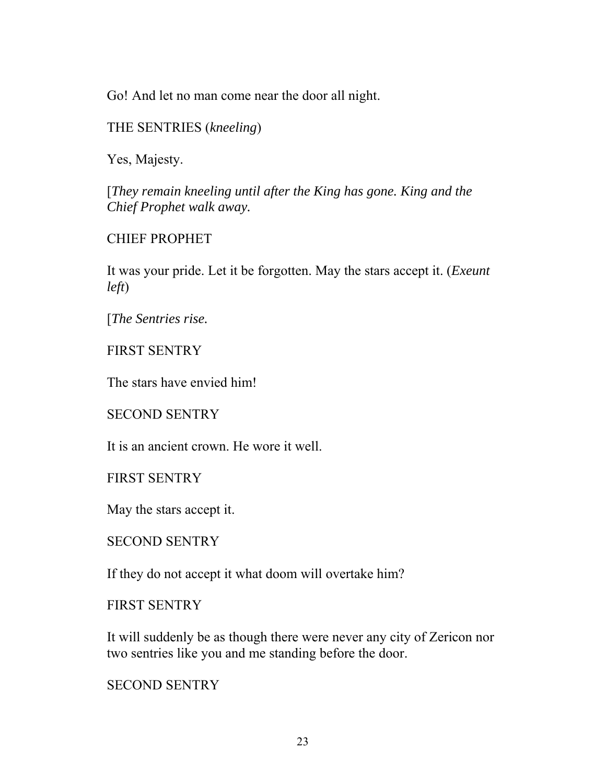Go! And let no man come near the door all night.

THE SENTRIES (*kneeling*)

Yes, Majesty.

[*They remain kneeling until after the King has gone. King and the Chief Prophet walk away.*

# CHIEF PROPHET

It was your pride. Let it be forgotten. May the stars accept it. (*Exeunt left*)

[*The Sentries rise.*

FIRST SENTRY

The stars have envied him!

SECOND SENTRY

It is an ancient crown. He wore it well.

FIRST SENTRY

May the stars accept it.

SECOND SENTRY

If they do not accept it what doom will overtake him?

FIRST SENTRY

It will suddenly be as though there were never any city of Zericon nor two sentries like you and me standing before the door.

SECOND SENTRY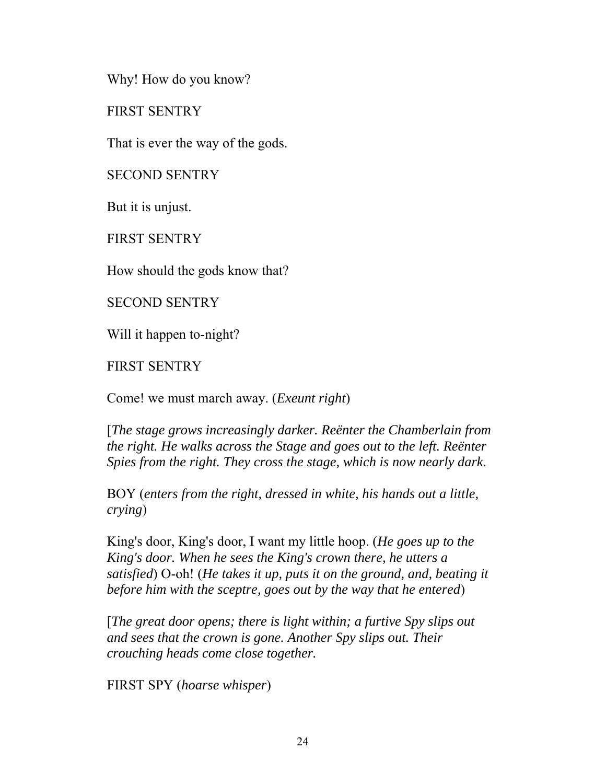Why! How do you know?

FIRST SENTRY

That is ever the way of the gods.

SECOND SENTRY

But it is unjust.

FIRST SENTRY

How should the gods know that?

SECOND SENTRY

Will it happen to-night?

FIRST SENTRY

Come! we must march away. (*Exeunt right*)

[*The stage grows increasingly darker. Reënter the Chamberlain from the right. He walks across the Stage and goes out to the left. Reënter Spies from the right. They cross the stage, which is now nearly dark.*

BOY (*enters from the right, dressed in white, his hands out a little, crying*)

King's door, King's door, I want my little hoop. (*He goes up to the King's door. When he sees the King's crown there, he utters a satisfied*) O-oh! (*He takes it up, puts it on the ground, and, beating it before him with the sceptre, goes out by the way that he entered*)

[*The great door opens; there is light within; a furtive Spy slips out and sees that the crown is gone. Another Spy slips out. Their crouching heads come close together.*

FIRST SPY (*hoarse whisper*)